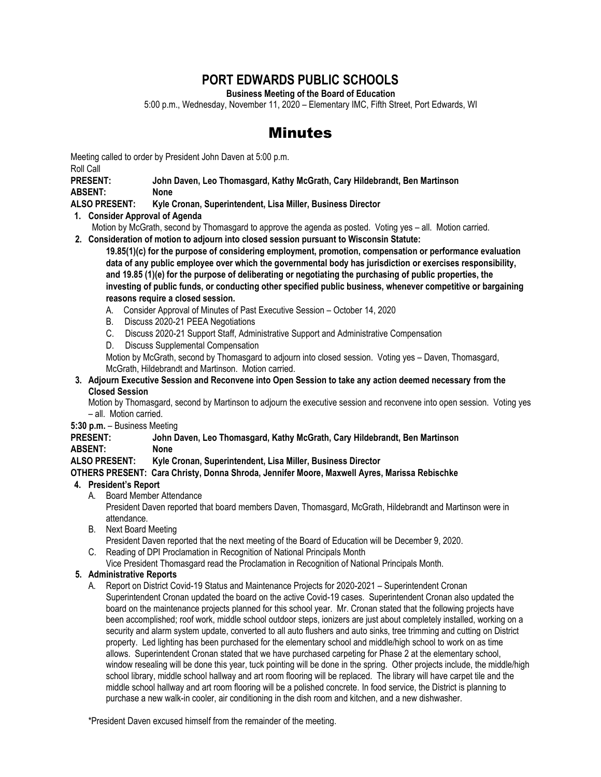# **PORT EDWARDS PUBLIC SCHOOLS**

**Business Meeting of the Board of Education**

5:00 p.m., Wednesday, November 11, 2020 – Elementary IMC, Fifth Street, Port Edwards, WI

# Minutes

Meeting called to order by President John Daven at 5:00 p.m.

Roll Call

**PRESENT: John Daven, Leo Thomasgard, Kathy McGrath, Cary Hildebrandt, Ben Martinson ABSENT: None**

**ALSO PRESENT: Kyle Cronan, Superintendent, Lisa Miller, Business Director**

**1. Consider Approval of Agenda**

Motion by McGrath, second by Thomasgard to approve the agenda as posted. Voting yes – all. Motion carried. **2. Consideration of motion to adjourn into closed session pursuant to Wisconsin Statute:**

**19.85(1)(c) for the purpose of considering employment, promotion, compensation or performance evaluation data of any public employee over which the governmental body has jurisdiction or exercises responsibility, and 19.85 (1)(e) for the purpose of deliberating or negotiating the purchasing of public properties, the investing of public funds, or conducting other specified public business, whenever competitive or bargaining reasons require a closed session.**

- A. Consider Approval of Minutes of Past Executive Session October 14, 2020
- B. Discuss 2020-21 PEEA Negotiations
- C. Discuss 2020-21 Support Staff, Administrative Support and Administrative Compensation
- D. Discuss Supplemental Compensation

Motion by McGrath, second by Thomasgard to adjourn into closed session. Voting yes – Daven, Thomasgard, McGrath, Hildebrandt and Martinson. Motion carried.

### **3. Adjourn Executive Session and Reconvene into Open Session to take any action deemed necessary from the Closed Session**

Motion by Thomasgard, second by Martinson to adjourn the executive session and reconvene into open session. Voting yes – all. Motion carried.

### **5:30 p.m.** – Business Meeting

## **PRESENT: John Daven, Leo Thomasgard, Kathy McGrath, Cary Hildebrandt, Ben Martinson ABSENT: None**

### **ALSO PRESENT: Kyle Cronan, Superintendent, Lisa Miller, Business Director**

### **OTHERS PRESENT: Cara Christy, Donna Shroda, Jennifer Moore, Maxwell Ayres, Marissa Rebischke**

# **4. President's Report**

A. Board Member Attendance

President Daven reported that board members Daven, Thomasgard, McGrath, Hildebrandt and Martinson were in attendance.

B. Next Board Meeting

President Daven reported that the next meeting of the Board of Education will be December 9, 2020.

- C. Reading of DPI Proclamation in Recognition of National Principals Month
- Vice President Thomasgard read the Proclamation in Recognition of National Principals Month.

# **5. Administrative Reports**

A. Report on District Covid-19 Status and Maintenance Projects for 2020-2021 – Superintendent Cronan

Superintendent Cronan updated the board on the active Covid-19 cases. Superintendent Cronan also updated the board on the maintenance projects planned for this school year. Mr. Cronan stated that the following projects have been accomplished; roof work, middle school outdoor steps, ionizers are just about completely installed, working on a security and alarm system update, converted to all auto flushers and auto sinks, tree trimming and cutting on District property. Led lighting has been purchased for the elementary school and middle/high school to work on as time allows. Superintendent Cronan stated that we have purchased carpeting for Phase 2 at the elementary school, window resealing will be done this year, tuck pointing will be done in the spring. Other projects include, the middle/high school library, middle school hallway and art room flooring will be replaced. The library will have carpet tile and the middle school hallway and art room flooring will be a polished concrete. In food service, the District is planning to purchase a new walk-in cooler, air conditioning in the dish room and kitchen, and a new dishwasher.

\*President Daven excused himself from the remainder of the meeting.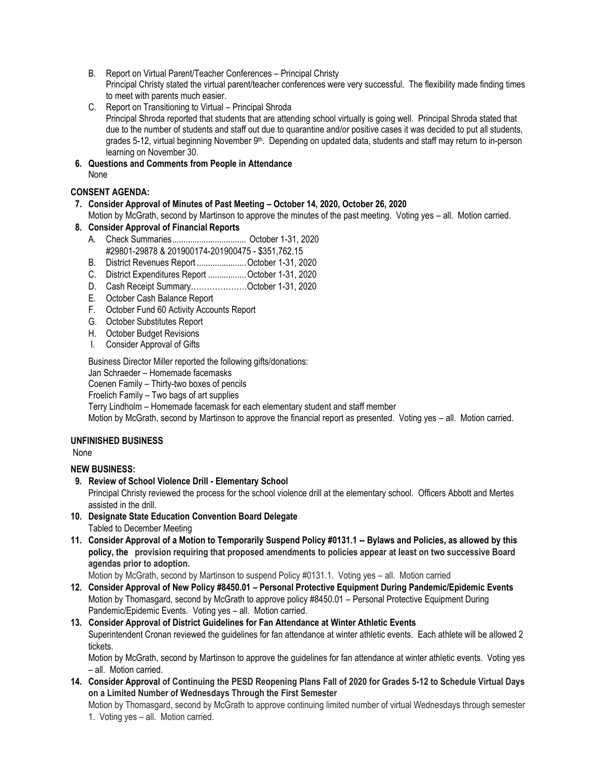- B. Report on Virtual Parent/Teacher Conferences Principal Christy Principal Christy stated the virtual parent/teacher conferences were very successful. The flexibility made finding times to meet with parents much easier.
- C. Report on Transitioning to Virtual Principal Shroda Principal Shroda reported that students that are attending school virtually is going well. Principal Shroda stated that due to the number of students and staff out due to quarantine and/or positive cases it was decided to put all students, grades 5-12, virtual beginning November 9<sup>th</sup>. Depending on updated data, students and staff may return to in-person learning on November 30.
- **6. Questions and Comments from People in Attendance** None

# **CONSENT AGENDA:**

**7. Consider Approval of Minutes of Past Meeting – October 14, 2020, October 26, 2020**

Motion by McGrath, second by Martinson to approve the minutes of the past meeting. Voting yes – all. Motion carried.  **8. Consider Approval of Financial Reports**

- A. Check Summaries................................. October 1-31, 2020 #29801-29878 & 201900174-201900475 - \$351,762.15
- 
- B. District Revenues Report ......................October 1-31, 2020
- C. District Expenditures Report .................October 1-31, 2020
- D. Cash Receipt Summary…………………October 1-31, 2020
- E. October Cash Balance Report
- F. October Fund 60 Activity Accounts Report
- G. October Substitutes Report
- H. October Budget Revisions
- I. Consider Approval of Gifts

Business Director Miller reported the following gifts/donations:

Jan Schraeder – Homemade facemasks

Coenen Family – Thirty-two boxes of pencils

Froelich Family – Two bags of art supplies

Terry Lindholm – Homemade facemask for each elementary student and staff member

Motion by McGrath, second by Martinson to approve the financial report as presented. Voting yes – all. Motion carried.

# **UNFINISHED BUSINESS**

None

# **NEW BUSINESS:**

 **9. Review of School Violence Drill - Elementary School** 

Principal Christy reviewed the process for the school violence drill at the elementary school. Officers Abbott and Mertes assisted in the drill.

- **10. Designate State Education Convention Board Delegate** Tabled to December Meeting
- **11. Consider Approval of a Motion to Temporarily Suspend Policy #0131.1 -- Bylaws and Policies, as allowed by this policy, the provision requiring that proposed amendments to policies appear at least on two successive Board agendas prior to adoption.**

Motion by McGrath, second by Martinson to suspend Policy #0131.1. Voting yes – all. Motion carried

- **12. Consider Approval of New Policy #8450.01 – Personal Protective Equipment During Pandemic/Epidemic Events** Motion by Thomasgard, second by McGrath to approve policy #8450.01 – Personal Protective Equipment During Pandemic/Epidemic Events. Voting yes – all. Motion carried.
- **13. Consider Approval of District Guidelines for Fan Attendance at Winter Athletic Events** Superintendent Cronan reviewed the guidelines for fan attendance at winter athletic events. Each athlete will be allowed 2 tickets.

Motion by McGrath, second by Martinson to approve the guidelines for fan attendance at winter athletic events. Voting yes – all. Motion carried.

**14. Consider Approval of Continuing the PESD Reopening Plans Fall of 2020 for Grades 5-12 to Schedule Virtual Days on a Limited Number of Wednesdays Through the First Semester**

Motion by Thomasgard, second by McGrath to approve continuing limited number of virtual Wednesdays through semester 1. Voting yes – all. Motion carried.